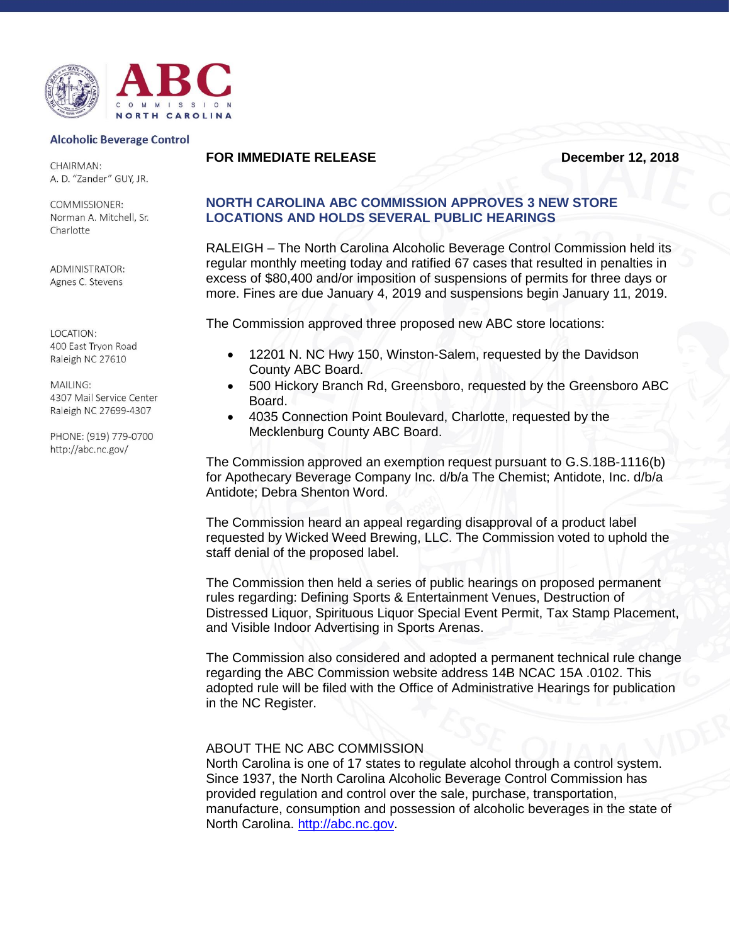

## **Alcoholic Beverage Control**

CHAIRMAN: A. D. "Zander" GUY, JR.

**COMMISSIONER:** Norman A. Mitchell, Sr. Charlotte

ADMINISTRATOR: Agnes C. Stevens

LOCATION: 400 East Tryon Road Raleigh NC 27610

MAILING: 4307 Mail Service Center Raleigh NC 27699-4307

PHONE: (919) 779-0700 http://abc.nc.gov/

## **FOR IMMEDIATE RELEASE December 12, 2018**

## **NORTH CAROLINA ABC COMMISSION APPROVES 3 NEW STORE LOCATIONS AND HOLDS SEVERAL PUBLIC HEARINGS**

RALEIGH – The North Carolina Alcoholic Beverage Control Commission held its regular monthly meeting today and ratified 67 cases that resulted in penalties in excess of \$80,400 and/or imposition of suspensions of permits for three days or more. Fines are due January 4, 2019 and suspensions begin January 11, 2019.

The Commission approved three proposed new ABC store locations:

- 12201 N. NC Hwy 150, Winston-Salem, requested by the Davidson County ABC Board.
- 500 Hickory Branch Rd, Greensboro, requested by the Greensboro ABC Board.
- 4035 Connection Point Boulevard, Charlotte, requested by the Mecklenburg County ABC Board.

The Commission approved an exemption request pursuant to G.S.18B-1116(b) for Apothecary Beverage Company Inc. d/b/a The Chemist; Antidote, Inc. d/b/a Antidote; Debra Shenton Word.

The Commission heard an appeal regarding disapproval of a product label requested by Wicked Weed Brewing, LLC. The Commission voted to uphold the staff denial of the proposed label.

The Commission then held a series of public hearings on proposed permanent rules regarding: Defining Sports & Entertainment Venues, Destruction of Distressed Liquor, Spirituous Liquor Special Event Permit, Tax Stamp Placement, and Visible Indoor Advertising in Sports Arenas.

The Commission also considered and adopted a permanent technical rule change regarding the ABC Commission website address 14B NCAC 15A .0102. This adopted rule will be filed with the Office of Administrative Hearings for publication in the NC Register.

## ABOUT THE NC ABC COMMISSION

North Carolina is one of 17 states to regulate alcohol through a control system. Since 1937, the North Carolina Alcoholic Beverage Control Commission has provided regulation and control over the sale, purchase, transportation, manufacture, consumption and possession of alcoholic beverages in the state of North Carolina. [http://abc.nc.gov.](http://abc.nc.gov/)